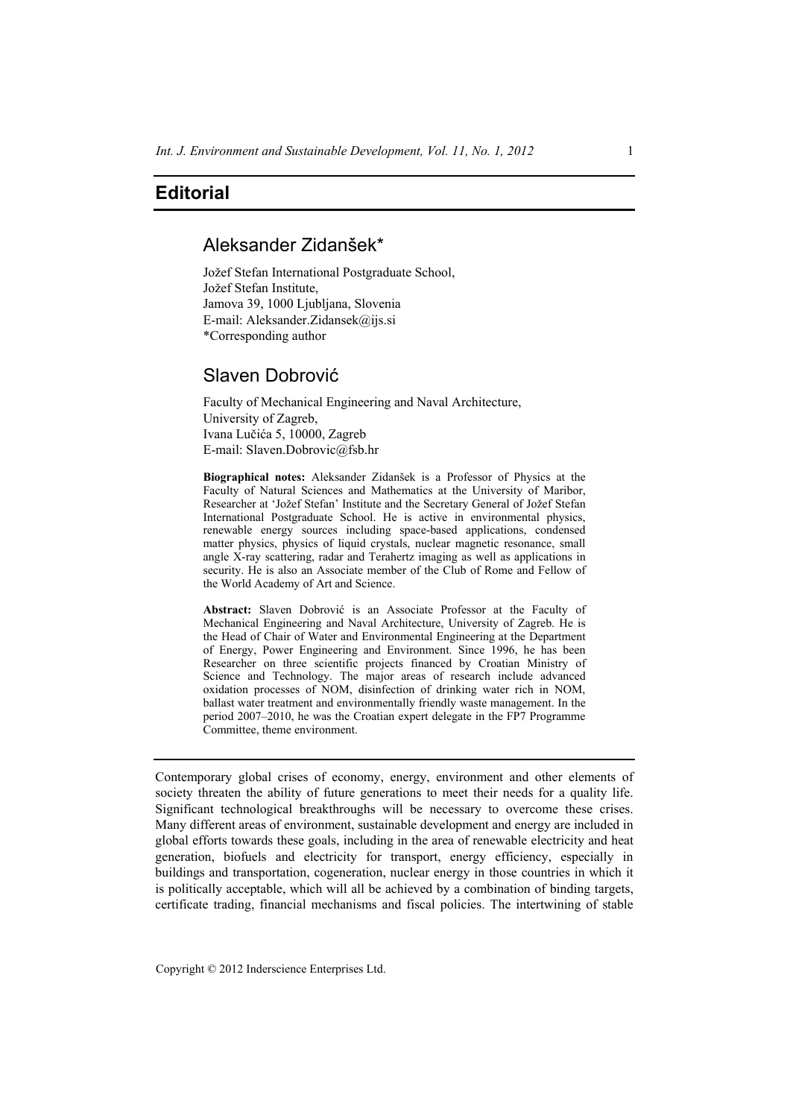# **Editorial**

## Aleksander Zidanšek\*

Jožef Stefan International Postgraduate School, Jožef Stefan Institute, Jamova 39, 1000 Ljubljana, Slovenia E-mail: Aleksander.Zidansek@ijs.si \*Corresponding author

## Slaven Dobrović

Faculty of Mechanical Engineering and Naval Architecture, University of Zagreb, Ivana Lučića 5, 10000, Zagreb E-mail: Slaven.Dobrovic@fsb.hr

**Biographical notes:** Aleksander Zidanšek is a Professor of Physics at the Faculty of Natural Sciences and Mathematics at the University of Maribor, Researcher at 'Jožef Stefan' Institute and the Secretary General of Jožef Stefan International Postgraduate School. He is active in environmental physics, renewable energy sources including space-based applications, condensed matter physics, physics of liquid crystals, nuclear magnetic resonance, small angle X-ray scattering, radar and Terahertz imaging as well as applications in security. He is also an Associate member of the Club of Rome and Fellow of the World Academy of Art and Science.

**Abstract:** Slaven Dobrović is an Associate Professor at the Faculty of Mechanical Engineering and Naval Architecture, University of Zagreb. He is the Head of Chair of Water and Environmental Engineering at the Department of Energy, Power Engineering and Environment. Since 1996, he has been Researcher on three scientific projects financed by Croatian Ministry of Science and Technology. The major areas of research include advanced oxidation processes of NOM, disinfection of drinking water rich in NOM, ballast water treatment and environmentally friendly waste management. In the period 2007–2010, he was the Croatian expert delegate in the FP7 Programme Committee, theme environment.

Contemporary global crises of economy, energy, environment and other elements of society threaten the ability of future generations to meet their needs for a quality life. Significant technological breakthroughs will be necessary to overcome these crises. Many different areas of environment, sustainable development and energy are included in global efforts towards these goals, including in the area of renewable electricity and heat generation, biofuels and electricity for transport, energy efficiency, especially in buildings and transportation, cogeneration, nuclear energy in those countries in which it is politically acceptable, which will all be achieved by a combination of binding targets, certificate trading, financial mechanisms and fiscal policies. The intertwining of stable